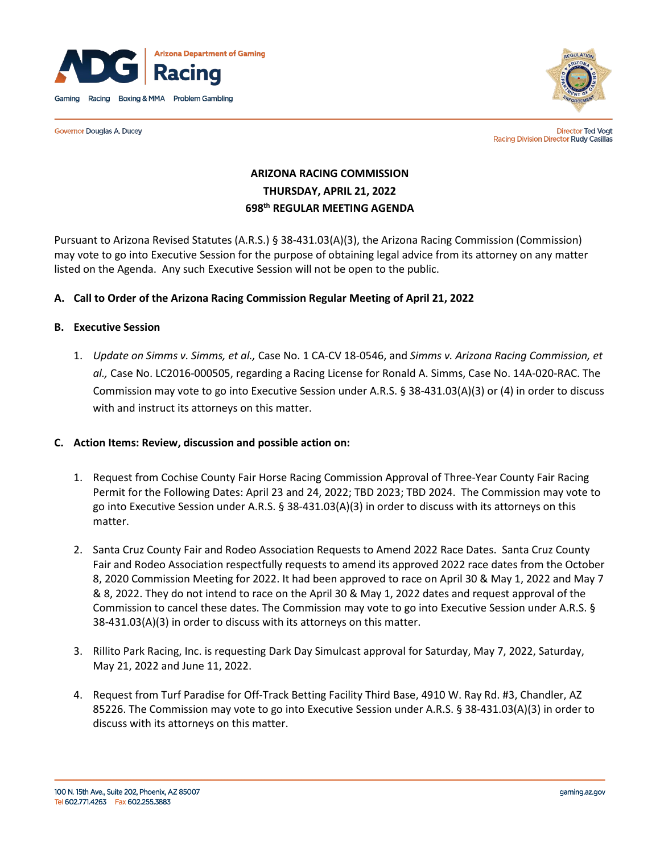

**Governor Douglas A. Ducey** 



**Director Ted Vogt** Racing Division Director Rudy Casillas

# **ARIZONA RACING COMMISSION THURSDAY, APRIL 21, 2022 698th REGULAR MEETING AGENDA**

Pursuant to Arizona Revised Statutes (A.R.S.) § 38-431.03(A)(3), the Arizona Racing Commission (Commission) may vote to go into Executive Session for the purpose of obtaining legal advice from its attorney on any matter listed on the Agenda. Any such Executive Session will not be open to the public.

## **A. Call to Order of the Arizona Racing Commission Regular Meeting of April 21, 2022**

#### **B. Executive Session**

1. *Update on Simms v. Simms, et al.,* Case No. 1 CA-CV 18-0546, and *Simms v. Arizona Racing Commission, et al.,* Case No. LC2016-000505, regarding a Racing License for Ronald A. Simms, Case No. 14A-020-RAC. The Commission may vote to go into Executive Session under A.R.S. § 38-431.03(A)(3) or (4) in order to discuss with and instruct its attorneys on this matter.

#### **C. Action Items: Review, discussion and possible action on:**

- 1. Request from Cochise County Fair Horse Racing Commission Approval of Three-Year County Fair Racing Permit for the Following Dates: April 23 and 24, 2022; TBD 2023; TBD 2024. The Commission may vote to go into Executive Session under A.R.S. § 38-431.03(A)(3) in order to discuss with its attorneys on this matter.
- 2. Santa Cruz County Fair and Rodeo Association Requests to Amend 2022 Race Dates. Santa Cruz County Fair and Rodeo Association respectfully requests to amend its approved 2022 race dates from the October 8, 2020 Commission Meeting for 2022. It had been approved to race on April 30 & May 1, 2022 and May 7 & 8, 2022. They do not intend to race on the April 30 & May 1, 2022 dates and request approval of the Commission to cancel these dates. The Commission may vote to go into Executive Session under A.R.S. § 38-431.03(A)(3) in order to discuss with its attorneys on this matter.
- 3. Rillito Park Racing, Inc. is requesting Dark Day Simulcast approval for Saturday, May 7, 2022, Saturday, May 21, 2022 and June 11, 2022.
- 4. Request from Turf Paradise for Off-Track Betting Facility Third Base, 4910 W. Ray Rd. #3, Chandler, AZ 85226. The Commission may vote to go into Executive Session under A.R.S. § 38-431.03(A)(3) in order to discuss with its attorneys on this matter.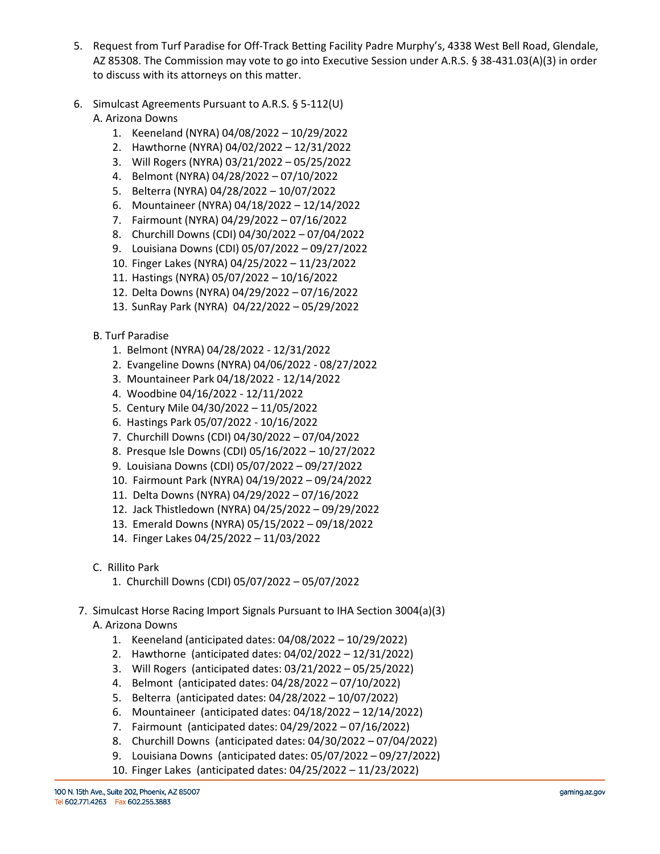- 5. Request from Turf Paradise for Off-Track Betting Facility Padre Murphy's, 4338 West Bell Road, Glendale, AZ 85308. The Commission may vote to go into Executive Session under A.R.S. § 38-431.03(A)(3) in order to discuss with its attorneys on this matter.
- 6. Simulcast Agreements Pursuant to A.R.S. § 5-112(U) A. Arizona Downs
	- 1. Keeneland (NYRA) 04/08/2022 10/29/2022
	- 2. Hawthorne (NYRA) 04/02/2022 12/31/2022
	- 3. Will Rogers (NYRA) 03/21/2022 05/25/2022
	- 4. Belmont (NYRA) 04/28/2022 07/10/2022
	- 5. Belterra (NYRA) 04/28/2022 10/07/2022
	- 6. Mountaineer (NYRA) 04/18/2022 12/14/2022
	- 7. Fairmount (NYRA) 04/29/2022 07/16/2022
	- 8. Churchill Downs (CDI) 04/30/2022 07/04/2022
	- 9. Louisiana Downs (CDI) 05/07/2022 09/27/2022
	- 10. Finger Lakes (NYRA) 04/25/2022 11/23/2022
	- 11. Hastings (NYRA) 05/07/2022 10/16/2022
	- 12. Delta Downs (NYRA) 04/29/2022 07/16/2022
	- 13. SunRay Park (NYRA) 04/22/2022 05/29/2022
	- B. Turf Paradise
		- 1. Belmont (NYRA) 04/28/2022 12/31/2022
		- 2. Evangeline Downs (NYRA) 04/06/2022 08/27/2022
		- 3. Mountaineer Park 04/18/2022 12/14/2022
		- 4. Woodbine 04/16/2022 12/11/2022
		- 5. Century Mile 04/30/2022 11/05/2022
		- 6. Hastings Park 05/07/2022 10/16/2022
		- 7. Churchill Downs (CDI) 04/30/2022 07/04/2022
		- 8. Presque Isle Downs (CDI) 05/16/2022 10/27/2022
		- 9. Louisiana Downs (CDI) 05/07/2022 09/27/2022
		- 10. Fairmount Park (NYRA) 04/19/2022 09/24/2022
		- 11. Delta Downs (NYRA) 04/29/2022 07/16/2022
		- 12. Jack Thistledown (NYRA) 04/25/2022 09/29/2022
		- 13. Emerald Downs (NYRA) 05/15/2022 09/18/2022
		- 14. Finger Lakes 04/25/2022 11/03/2022
	- C. Rillito Park
		- 1. Churchill Downs (CDI) 05/07/2022 05/07/2022
- 7. Simulcast Horse Racing Import Signals Pursuant to IHA Section 3004(a)(3) A. Arizona Downs
	- 1. Keeneland (anticipated dates: 04/08/2022 10/29/2022)
	- 2. Hawthorne (anticipated dates: 04/02/2022 12/31/2022)
	- 3. Will Rogers (anticipated dates: 03/21/2022 05/25/2022)
	- 4. Belmont (anticipated dates: 04/28/2022 07/10/2022)
	- 5. Belterra (anticipated dates: 04/28/2022 10/07/2022)
	- 6. Mountaineer (anticipated dates: 04/18/2022 12/14/2022)
	- 7. Fairmount (anticipated dates: 04/29/2022 07/16/2022)
	- 8. Churchill Downs (anticipated dates: 04/30/2022 07/04/2022)
	- 9. Louisiana Downs (anticipated dates: 05/07/2022 09/27/2022)
	- 10. Finger Lakes (anticipated dates: 04/25/2022 11/23/2022)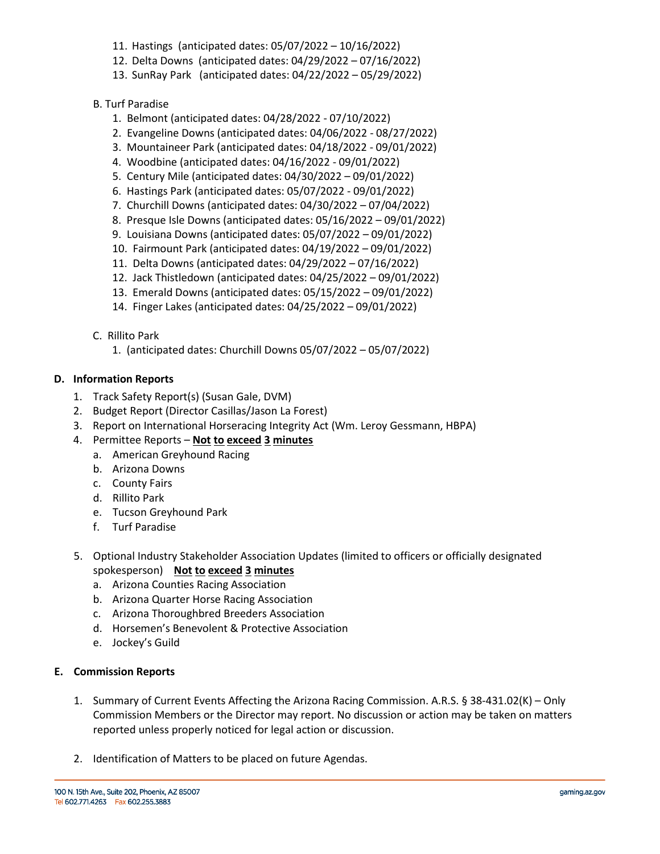- 11. Hastings (anticipated dates: 05/07/2022 10/16/2022)
- 12. Delta Downs (anticipated dates: 04/29/2022 07/16/2022)
- 13. SunRay Park (anticipated dates: 04/22/2022 05/29/2022)

## B. Turf Paradise

- 1. Belmont (anticipated dates: 04/28/2022 07/10/2022)
- 2. Evangeline Downs (anticipated dates: 04/06/2022 08/27/2022)
- 3. Mountaineer Park (anticipated dates: 04/18/2022 09/01/2022)
- 4. Woodbine (anticipated dates: 04/16/2022 09/01/2022)
- 5. Century Mile (anticipated dates: 04/30/2022 09/01/2022)
- 6. Hastings Park (anticipated dates: 05/07/2022 09/01/2022)
- 7. Churchill Downs (anticipated dates: 04/30/2022 07/04/2022)
- 8. Presque Isle Downs (anticipated dates: 05/16/2022 09/01/2022)
- 9. Louisiana Downs (anticipated dates: 05/07/2022 09/01/2022)
- 10. Fairmount Park (anticipated dates: 04/19/2022 09/01/2022)
- 11. Delta Downs (anticipated dates: 04/29/2022 07/16/2022)
- 12. Jack Thistledown (anticipated dates: 04/25/2022 09/01/2022)
- 13. Emerald Downs (anticipated dates: 05/15/2022 09/01/2022)
- 14. Finger Lakes (anticipated dates: 04/25/2022 09/01/2022)
- C. Rillito Park
	- 1. (anticipated dates: Churchill Downs 05/07/2022 05/07/2022)

## **D. Information Reports**

- 1.Track Safety Report(s) (Susan Gale, DVM)
- 2. Budget Report (Director Casillas/Jason La Forest)
- 3. Report on International Horseracing Integrity Act (Wm. Leroy Gessmann, HBPA)
- 4. Permittee Reports **Not to exceed 3 minutes**
	- a. American Greyhound Racing
	- b. Arizona Downs
	- c. County Fairs
	- d. Rillito Park
	- e. Tucson Greyhound Park
	- f. Turf Paradise
- 5. Optional Industry Stakeholder Association Updates (limited to officers or officially designated spokesperson) **Not to exceed 3 minutes**
	- a. Arizona Counties Racing Association
	- b. Arizona Quarter Horse Racing Association
	- c. Arizona Thoroughbred Breeders Association
	- d. Horsemen's Benevolent & Protective Association
	- e. Jockey's Guild

#### **E. Commission Reports**

- 1. Summary of Current Events Affecting the Arizona Racing Commission. A.R.S. § 38-431.02(K) Only Commission Members or the Director may report. No discussion or action may be taken on matters reported unless properly noticed for legal action or discussion.
- 2. Identification of Matters to be placed on future Agendas.